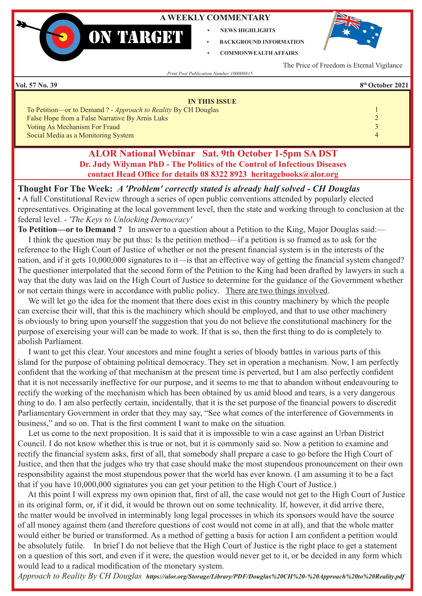### **A WEEKLY COMMENTARY**

- **• NEWS HIGHLIGHTS**
- **• BACKGROUND INFORMATION • COMMONWEALTH AFFAIRS**



The Price of Freedom is Eternal Vigilance

*Print Post Publication Number 100000815*

**ON TARGET** 

**Vol. 57 No. 39 8th October 2021**

| <b>IN THIS ISSUE</b>                                                  |  |
|-----------------------------------------------------------------------|--|
| To Petition—or to Demand ? - <i>Approach to Reality</i> By CH Douglas |  |
| False Hope from a False Narrative By Arnis Luks                       |  |
| Voting As Mechanism For Fraud                                         |  |
| Social Media as a Monitoring System                                   |  |

## **ALOR National Webinar Sat. 9th October 1-5pm SA DST Dr. Judy Wilyman PhD - The Politics of the Control of Infectious Diseases contact Head Office for details 08 8322 8923 heritagebooks@alor.org**

**Thought For The Week:** *A 'Problem' correctly stated is already half solved - CH Douglas* • A full Constitutional Review through a series of open public conventions attended by popularly elected representatives. Originating at the local government level, then the state and working through to conclusion at the federal level. - *'The Keys to Unlocking Democracy'*

**To Petition—or to Demand ?**In answer to a question about a Petition to the King, Major Douglas said:—

 I think the question may be put thus: Is the petition method—if a petition is so framed as to ask for the reference to the High Court of Justice of whether or not the present financial system is in the interests of the nation, and if it gets 10,000,000 signatures to it—is that an effective way of getting the financial system changed? The questioner interpolated that the second form of the Petition to the King had been drafted by lawyers in such a way that the duty was laid on the High Court of Justice to determine for the guidance of the Government whether or not certain things were in accordance with public policy. There are two things involved.

 We will let go the idea for the moment that there does exist in this country machinery by which the people can exercise their will, that this is the machinery which should be employed, and that to use other machinery is obviously to bring upon yourself the suggestion that you do not believe the constitutional machinery for the purpose of exercising your will can be made to work. If that is so, then the first thing to do is completely to abolish Parliament.

 I want to get this clear. Your ancestors and mine fought a series of bloody battles in various parts of this island for the purpose of obtaining political democracy. They set in operation a mechanism. Now, I am perfectly confident that the working of that mechanism at the present time is perverted, but I am also perfectly confident that it is not necessarily ineffective for our purpose, and it seems to me that to abandon without endeavouring to rectify the working of the mechanism which has been obtained by us amid blood and tears, is a very dangerous thing to do. I am also perfectly certain, incidentally, that it is the set purpose of the financial powers to discredit Parliamentary Government in order that they may say, "See what comes of the interference of Governments in business," and so on. That is the first comment I want to make on the situation.

 Let us come to the next proposition. It is said that it is impossible to win a case against an Urban District Council. I do not know whether this is true or not, but it is commonly said so. Now a petition to examine and rectify the financial system asks, first of all, that somebody shall prepare a case to go before the High Court of Justice, and then that the judges who try that case should make the most stupendous pronouncement on their own responsibility against the most stupendous power that the world has ever known. (I am assuming it to be a fact that if you have 10,000,000 signatures you can get your petition to the High Court of Justice.)

 At this point I will express my own opinion that, first of all, the case would not get to the High Court of Justice in its original form, or, if it did, it would be thrown out on some technicality. If, however, it did arrive there, the matter would be involved in interminably long legal processes in which its sponsors would have the source of all money against them (and therefore questions of cost would not come in at all), and that the whole matter would either be buried or transformed. As a method of getting a basis for action I am confident a petition would be absolutely futile. In brief I do not believe that the High Court of Justice is the right place to get a statement on a question of this sort, and even if it were, the question would never get to it, or be decided in any form which would lead to a radical modification of the monetary system.

*Approach to Reality By CH Douglas https://alor.org/Storage/Library/PDF/Douglas%20CH%20-%20Approach%20to%20Reality.pdf*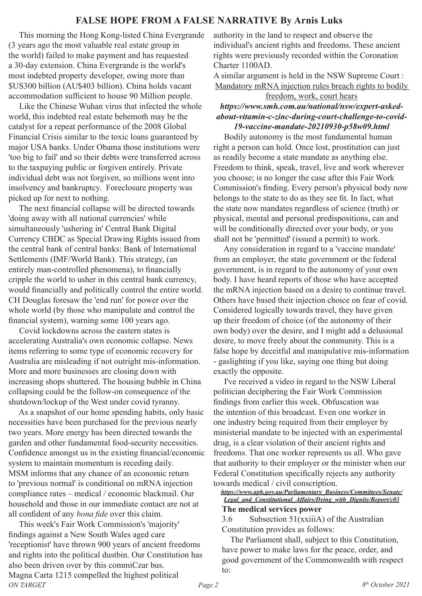# **FALSE HOPE FROM A FALSE NARRATIVE By Arnis Luks**

 This morning the Hong Kong-listed China Evergrande (3 years ago the most valuable real estate group in the world) failed to make payment and has requested a 30-day extension. China Evergrande is the world's most indebted property developer, owing more than \$US300 billion (AU\$403 billion). China holds vacant accommodation sufficient to house 90 Million people.

 Like the Chinese Wuhan virus that infected the whole world, this indebted real estate behemoth may be the catalyst for a repeat performance of the 2008 Global Financial Crisis similar to the toxic loans guaranteed by major USA banks. Under Obama those institutions were 'too big to fail' and so their debts were transferred across to the taxpaying public or forgiven entirely. Private individual debt was not forgiven, so millions went into insolvency and bankruptcy. Foreclosure property was picked up for next to nothing.

 The next financial collapse will be directed towards 'doing away with all national currencies' while simultaneously 'ushering in' Central Bank Digital Currency CBDC as Special Drawing Rights issued from the central bank of central banks: Bank of International Settlements (IMF/World Bank). This strategy, (an entirely man-controlled phenomena), to financially cripple the world to usher in this central bank currency, would financially and politically control the entire world. CH Douglas foresaw the 'end run' for power over the whole world (by those who manipulate and control the financial system), warning some 100 years ago.

 Covid lockdowns across the eastern states is accelerating Australia's own economic collapse. News items referring to some type of economic recovery for Australia are misleading if not outright mis-information. More and more businesses are closing down with increasing shops shuttered. The housing bubble in China collapsing could be the follow-on consequence of the shutdown/lockup of the West under covid tyranny.

 As a snapshot of our home spending habits, only basic necessities have been purchased for the previous nearly two years. More energy has been directed towards the garden and other fundamental food-security necessities. Confidence amongst us in the existing financial/economic system to maintain momentum is receding daily. MSM informs that any chance of an economic return to 'previous normal' is conditional on mRNA injection compliance rates – medical / economic blackmail. Our household and those in our immediate contact are not at all confident of any *bona fide* over this claim.

 This week's Fair Work Commission's 'majority' findings against a New South Wales aged care 'receptionist' have thrown 900 years of ancient freedoms and rights into the political dustbin. Our Constitution has also been driven over by this commiCzar bus. Magna Carta 1215 compelled the highest political

authority in the land to respect and observe the individual's ancient rights and freedoms. These ancient rights were previously recorded within the Coronation Charter 1100AD.

A similar argument is held in the NSW Supreme Court : Mandatory mRNA injection rules breach rights to bodily

### freedom, work, court hears *https://www.smh.com.au/national/nsw/expert-askedabout-vitamin-c-zinc-during-court-challenge-to-covid-19-vaccine-mandate-20210930-p58w09.html*

 Bodily autonomy is the most fundamental human right a person can hold. Once lost, prostitution can just as readily become a state mandate as anything else. Freedom to think, speak, travel, live and work wherever you choose; is no longer the case after this Fair Work Commission's finding. Every person's physical body now belongs to the state to do as they see fit. In fact, what the state now mandates regardless of science (truth) or physical, mental and personal predispositions, can and will be conditionally directed over your body, or you shall not be 'permitted' (issued a permit) to work.

 Any consideration in regard to a 'vaccine mandate' from an employer, the state government or the federal government, is in regard to the autonomy of your own body. I have heard reports of those who have accepted the mRNA injection based on a desire to continue travel. Others have based their injection choice on fear of covid. Considered logically towards travel, they have given up their freedom of choice (of the autonomy of their own body) over the desire, and I might add a delusional desire, to move freely about the community. This is a false hope by deceitful and manipulative mis-information - gaslighting if you like, saying one thing but doing exactly the opposite.

 I've received a video in regard to the NSW Liberal politician deciphering the Fair Work Commission findings from earlier this week. Obfuscation was the intention of this broadcast. Even one worker in one industry being required from their employer by ministerial mandate to be injected with an experimental drug, is a clear violation of their ancient rights and freedoms. That one worker represents us all. Who gave that authority to their employer or the minister when our Federal Constitution specifically rejects any authority towards medical / civil conscription.

*https://www.aph.gov.au/Parliamentary\_Business/Committees/Senate/ Legal\_and\_Constitutional\_Affairs/Dying\_with\_Dignity/Report/c03* **The medical services power**

3.6 Subsection 51(xxiiiA) of the Australian Constitution provides as follows:

 The Parliament shall, subject to this Constitution, have power to make laws for the peace, order, and good government of the Commonwealth with respect to: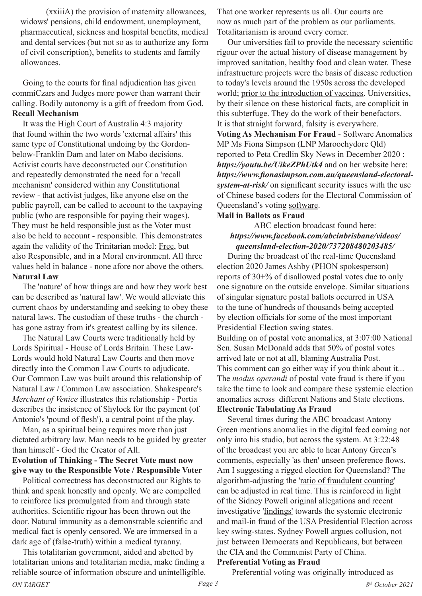(xxiiiA) the provision of maternity allowances, widows' pensions, child endowment, unemployment, pharmaceutical, sickness and hospital benefits, medical and dental services (but not so as to authorize any form of civil conscription), benefits to students and family allowances.

 Going to the courts for final adjudication has given commiCzars and Judges more power than warrant their calling. Bodily autonomy is a gift of freedom from God. **Recall Mechanism**

 It was the High Court of Australia 4:3 majority that found within the two words 'external affairs' this same type of Constitutional undoing by the Gordonbelow-Franklin Dam and later on Mabo decisions. Activist courts have deconstructed our Constitution and repeatedly demonstrated the need for a 'recall mechanism' considered within any Constitutional review - that activist judges, like anyone else on the public payroll, can be called to account to the taxpaying public (who are responsible for paying their wages). They must be held responsible just as the Voter must also be held to account - responsible. This demonstrates again the validity of the Trinitarian model: Free, but also Responsible, and in a Moral environment. All three values held in balance - none afore nor above the others. **Natural Law**

 The 'nature' of how things are and how they work best can be described as 'natural law'. We would alleviate this current chaos by understanding and seeking to obey these natural laws. The custodian of these truths - the church has gone astray from it's greatest calling by its silence.

 The Natural Law Courts were traditionally held by Lords Spiritual - House of Lords Britain. These Law-Lords would hold Natural Law Courts and then move directly into the Common Law Courts to adjudicate. Our Common Law was built around this relationship of Natural Law / Common Law association. Shakespeare's *Merchant of Venice* illustrates this relationship - Portia describes the insistence of Shylock for the payment (of Antonio's 'pound of flesh'), a central point of the play.

 Man, as a spiritual being requires more than just dictated arbitrary law. Man needs to be guided by greater than himself - God the Creator of All.

**Evolution of Thinking - The Secret Vote must now give way to the Responsible Vote / Responsible Voter**

 Political correctness has deconstructed our Rights to think and speak honestly and openly. We are compelled to reinforce lies promulgated from and through state authorities. Scientific rigour has been thrown out the door. Natural immunity as a demonstrable scientific and medical fact is openly censored. We are immersed in a dark age of (false-truth) within a medical tyranny.

*ON TARGET Page 3 8th October 2021* This totalitarian government, aided and abetted by totalitarian unions and totalitarian media, make finding a reliable source of information obscure and unintelligible.

That one worker represents us all. Our courts are now as much part of the problem as our parliaments. Totalitarianism is around every corner.

 Our universities fail to provide the necessary scientific rigour over the actual history of disease management by improved sanitation, healthy food and clean water. These infrastructure projects were the basis of disease reduction to today's levels around the 1950s across the developed world; prior to the introduction of vaccines. Universities, by their silence on these historical facts, are complicit in this subterfuge. They do the work of their benefactors. It is that straight forward, falsity is everywhere. **Voting As Mechanism For Fraud** - Software Anomalies MP Ms Fiona Simpson (LNP Maroochydore Qld) reported to Peta Credlin Sky News in December 2020 : *https://youtu.be/UikeZPhUtk4* and on her website here: *https://www.fionasimpson.com.au/queensland-electoralsystem-at-risk/* on significant security issues with the use of Chinese based coders for the Electoral Commission of Queensland's voting software.

#### **Mail in Ballots as Fraud**

#### ABC election broadcast found here: *https://www.facebook.com/abcinbrisbane/videos/ queensland-election-2020/737208480203485/*

 During the broadcast of the real-time Queensland election 2020 James Ashby (PHON spokesperson) reports of 30+% of disallowed postal votes due to only one signature on the outside envelope. Similar situations of singular signature postal ballots occurred in USA to the tune of hundreds of thousands being accepted by election officials for some of the most important Presidential Election swing states.

Building on of postal vote anomalies, at 3:07:00 National Sen. Susan McDonald adds that 50% of postal votes arrived late or not at all, blaming Australia Post. This comment can go either way if you think about it... The *modus operandi* of postal vote fraud is there if you take the time to look and compare these systemic election anomalies across different Nations and State elections. **Electronic Tabulating As Fraud**

 Several times during the ABC broadcast Antony Green mentions anomalies in the digital feed coming not only into his studio, but across the system. At 3:22:48 of the broadcast you are able to hear Antony Green's comments, especially 'as then' unseen preference flows. Am I suggesting a rigged election for Queensland? The algorithm-adjusting the 'ratio of fraudulent counting' can be adjusted in real time. This is reinforced in light of the Sidney Powell original allegations and recent investigative 'findings' towards the systemic electronic and mail-in fraud of the USA Presidential Election across key swing-states. Sydney Powell argues collusion, not just between Democrats and Republicans, but between the CIA and the Communist Party of China.

### **Preferential Voting as Fraud**

Preferential voting was originally introduced as